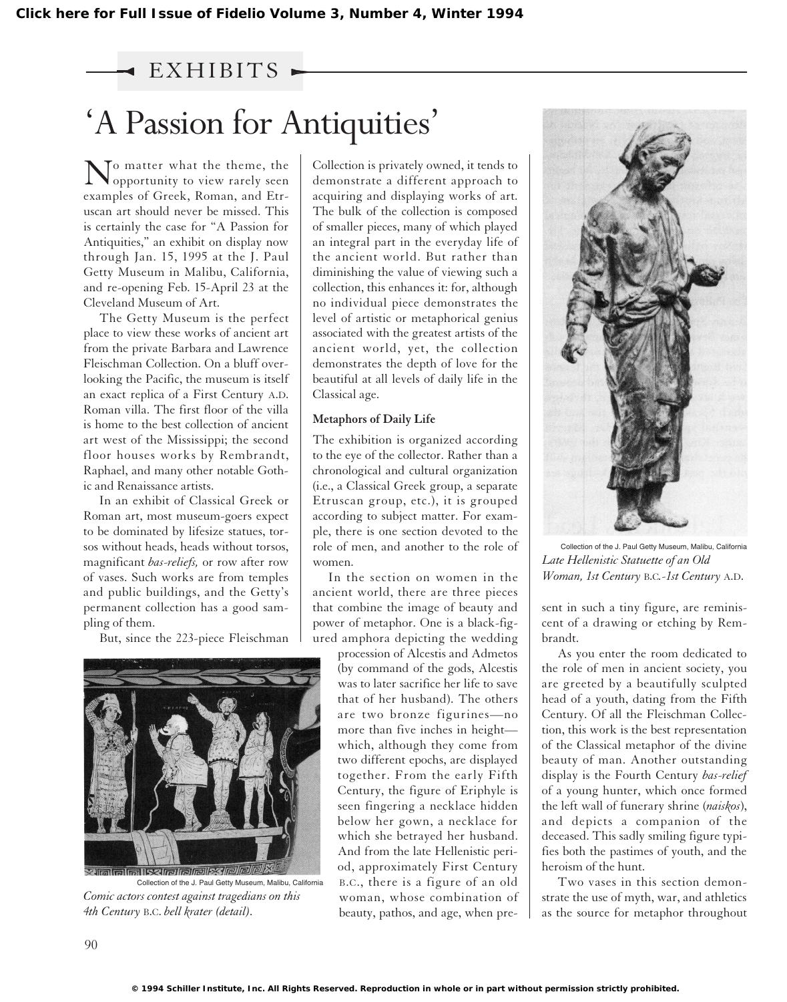## EXHIBITS

## 'A Passion for Antiquities'

 $\sum_{\text{onnormal}}$ opportunity to view rarely seen examples of Greek, Roman, and Etruscan art should never be missed. This is certainly the case for "A Passion for Antiquities," an exhibit on display now through Jan. 15, 1995 at the J. Paul Getty Museum in Malibu, California, and re-opening Feb. 15-April 23 at the Cleveland Museum of Art.

The Getty Museum is the perfect place to view these works of ancient art from the private Barbara and Lawrence Fleischman Collection. On a bluff overlooking the Pacific, the museum is itself an exact replica of a First Century A.D. Roman villa. The first floor of the villa is home to the best collection of ancient art west of the Mississippi; the second floor houses works by Rembrandt, Raphael, and many other notable Gothic and Renaissance artists.

In an exhibit of Classical Greek or Roman art, most museum-goers expect to be dominated by lifesize statues, torsos without heads, heads without torsos, magnificant *bas-reliefs,* or row after row of vases. Such works are from temples and public buildings, and the Getty's permanent collection has a good sampling of them.

But, since the 223-piece Fleischman



*Comic actors contest against tragedians on this 4th Century* B.C. *bell krater (detail).* Collection of the J. Paul Getty Museum, Malibu, California

Collection is privately owned, it tends to demonstrate a different approach to acquiring and displaying works of art. The bulk of the collection is composed of smaller pieces, many of which played an integral part in the everyday life of the ancient world. But rather than diminishing the value of viewing such a collection, this enhances it: for, although no individual piece demonstrates the level of artistic or metaphorical genius associated with the greatest artists of the ancient world, yet, the collection demonstrates the depth of love for the beautiful at all levels of daily life in the Classical age.

## **Metaphors of Daily Life**

The exhibition is organized according to the eye of the collector. Rather than a chronological and cultural organization (i.e., a Classical Greek group, a separate Etruscan group, etc.), it is grouped according to subject matter. For example, there is one section devoted to the role of men, and another to the role of women.

In the section on women in the ancient world, there are three pieces that combine the image of beauty and power of metaphor. One is a black-figured amphora depicting the wedding

procession of Alcestis and Admetos (by command of the gods, Alcestis was to later sacrifice her life to save that of her husband). The others are two bronze figurines—no more than five inches in height which, although they come from two different epochs, are displayed together. From the early Fifth Century, the figure of Eriphyle is seen fingering a necklace hidden below her gown, a necklace for which she betrayed her husband. And from the late Hellenistic period, approximately First Century B.C., there is a figure of an old woman, whose combination of beauty, pathos, and age, when pre-



Collection of the J. Paul Getty Museum, Malibu, California *Late Hellenistic Statuette of an Old Woman, 1st Century* B.C*.-1st Century* A.D.

sent in such a tiny figure, are reminiscent of a drawing or etching by Rembrandt.

As you enter the room dedicated to the role of men in ancient society, you are greeted by a beautifully sculpted head of a youth, dating from the Fifth Century. Of all the Fleischman Collection, this work is the best representation of the Classical metaphor of the divine beauty of man. Another outstanding display is the Fourth Century *bas-relief* of a young hunter, which once formed the left wall of funerary shrine (*naiskos*), and depicts a companion of the deceased. This sadly smiling figure typifies both the pastimes of youth, and the heroism of the hunt.

Two vases in this section demonstrate the use of myth, war, and athletics as the source for metaphor throughout